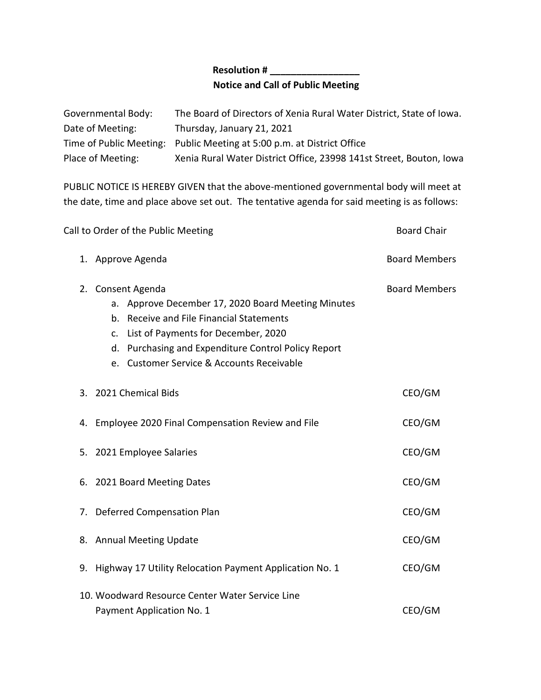## **Resolution # \_\_\_\_\_\_\_\_\_\_\_\_\_\_\_\_\_ Notice and Call of Public Meeting**

| Governmental Body: | The Board of Directors of Xenia Rural Water District, State of Iowa.   |
|--------------------|------------------------------------------------------------------------|
| Date of Meeting:   | Thursday, January 21, 2021                                             |
|                    | Time of Public Meeting: Public Meeting at 5:00 p.m. at District Office |
| Place of Meeting:  | Xenia Rural Water District Office, 23998 141st Street, Bouton, Iowa    |

PUBLIC NOTICE IS HEREBY GIVEN that the above-mentioned governmental body will meet at the date, time and place above set out. The tentative agenda for said meeting is as follows:

|    | Call to Order of the Public Meeting                                                                                                                                                                                                                                  | <b>Board Chair</b>   |
|----|----------------------------------------------------------------------------------------------------------------------------------------------------------------------------------------------------------------------------------------------------------------------|----------------------|
|    | 1. Approve Agenda                                                                                                                                                                                                                                                    | <b>Board Members</b> |
|    | 2. Consent Agenda<br>a. Approve December 17, 2020 Board Meeting Minutes<br>b. Receive and File Financial Statements<br>List of Payments for December, 2020<br>c.<br>d. Purchasing and Expenditure Control Policy Report<br>e. Customer Service & Accounts Receivable | <b>Board Members</b> |
|    | 3. 2021 Chemical Bids                                                                                                                                                                                                                                                | CEO/GM               |
|    | 4. Employee 2020 Final Compensation Review and File                                                                                                                                                                                                                  | CEO/GM               |
|    | 5. 2021 Employee Salaries                                                                                                                                                                                                                                            | CEO/GM               |
|    | 6. 2021 Board Meeting Dates                                                                                                                                                                                                                                          | CEO/GM               |
|    | 7. Deferred Compensation Plan                                                                                                                                                                                                                                        | CEO/GM               |
|    | 8. Annual Meeting Update                                                                                                                                                                                                                                             | CEO/GM               |
| 9. | Highway 17 Utility Relocation Payment Application No. 1                                                                                                                                                                                                              | CEO/GM               |
|    | 10. Woodward Resource Center Water Service Line<br>Payment Application No. 1                                                                                                                                                                                         | CEO/GM               |